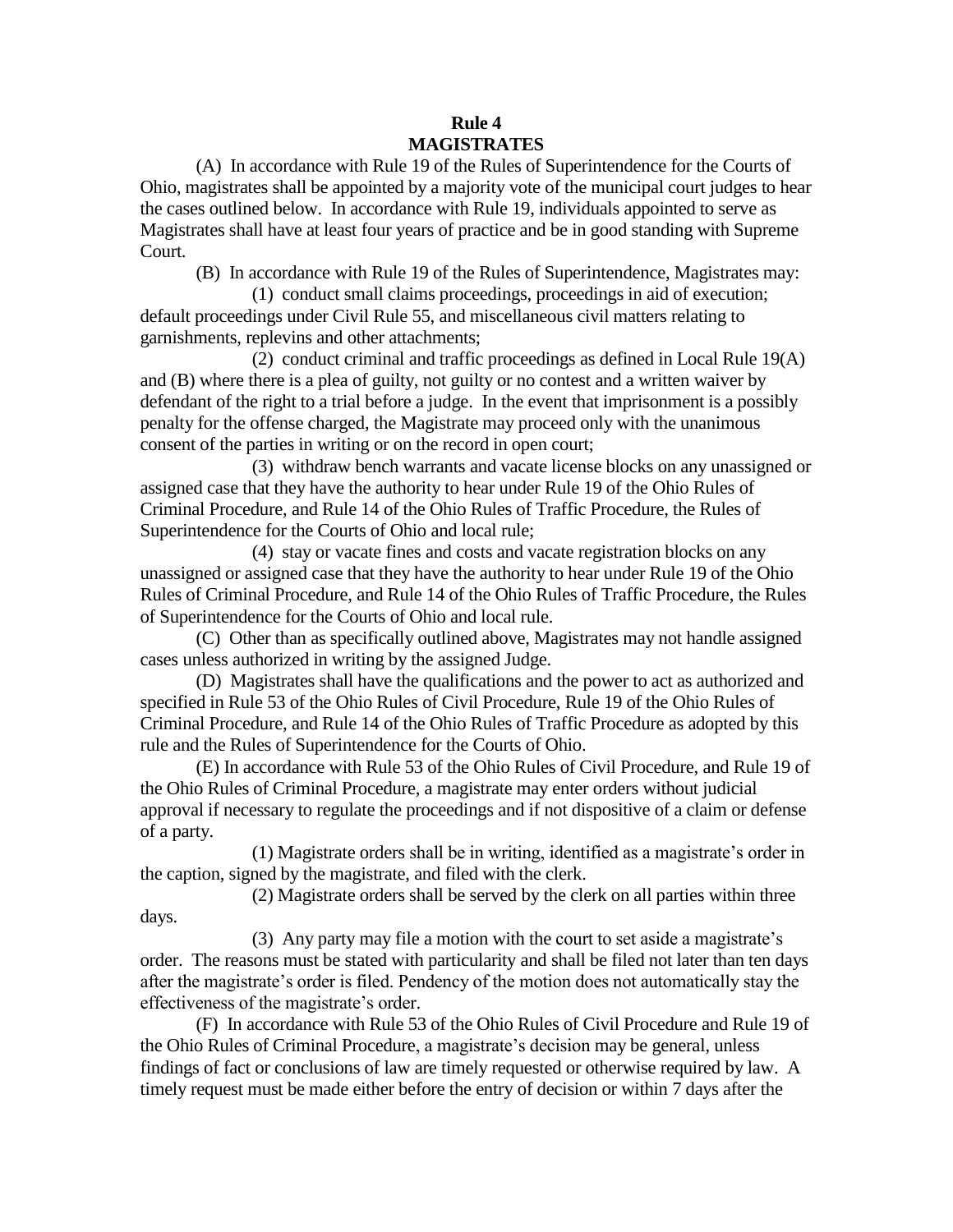## **Rule 4 MAGISTRATES**

(A) In accordance with Rule 19 of the Rules of Superintendence for the Courts of Ohio, magistrates shall be appointed by a majority vote of the municipal court judges to hear the cases outlined below. In accordance with Rule 19, individuals appointed to serve as Magistrates shall have at least four years of practice and be in good standing with Supreme Court.

(B) In accordance with Rule 19 of the Rules of Superintendence, Magistrates may:

(1) conduct small claims proceedings, proceedings in aid of execution; default proceedings under Civil Rule 55, and miscellaneous civil matters relating to garnishments, replevins and other attachments;

(2) conduct criminal and traffic proceedings as defined in Local Rule 19(A) and (B) where there is a plea of guilty, not guilty or no contest and a written waiver by defendant of the right to a trial before a judge. In the event that imprisonment is a possibly penalty for the offense charged, the Magistrate may proceed only with the unanimous consent of the parties in writing or on the record in open court;

(3) withdraw bench warrants and vacate license blocks on any unassigned or assigned case that they have the authority to hear under Rule 19 of the Ohio Rules of Criminal Procedure, and Rule 14 of the Ohio Rules of Traffic Procedure, the Rules of Superintendence for the Courts of Ohio and local rule;

(4) stay or vacate fines and costs and vacate registration blocks on any unassigned or assigned case that they have the authority to hear under Rule 19 of the Ohio Rules of Criminal Procedure, and Rule 14 of the Ohio Rules of Traffic Procedure, the Rules of Superintendence for the Courts of Ohio and local rule.

(C) Other than as specifically outlined above, Magistrates may not handle assigned cases unless authorized in writing by the assigned Judge.

(D) Magistrates shall have the qualifications and the power to act as authorized and specified in Rule 53 of the Ohio Rules of Civil Procedure, Rule 19 of the Ohio Rules of Criminal Procedure, and Rule 14 of the Ohio Rules of Traffic Procedure as adopted by this rule and the Rules of Superintendence for the Courts of Ohio.

(E) In accordance with Rule 53 of the Ohio Rules of Civil Procedure, and Rule 19 of the Ohio Rules of Criminal Procedure, a magistrate may enter orders without judicial approval if necessary to regulate the proceedings and if not dispositive of a claim or defense of a party.

(1) Magistrate orders shall be in writing, identified as a magistrate's order in the caption, signed by the magistrate, and filed with the clerk.

(2) Magistrate orders shall be served by the clerk on all parties within three days.

(3) Any party may file a motion with the court to set aside a magistrate's order. The reasons must be stated with particularity and shall be filed not later than ten days after the magistrate's order is filed. Pendency of the motion does not automatically stay the effectiveness of the magistrate's order.

(F) In accordance with Rule 53 of the Ohio Rules of Civil Procedure and Rule 19 of the Ohio Rules of Criminal Procedure, a magistrate's decision may be general, unless findings of fact or conclusions of law are timely requested or otherwise required by law. A timely request must be made either before the entry of decision or within 7 days after the